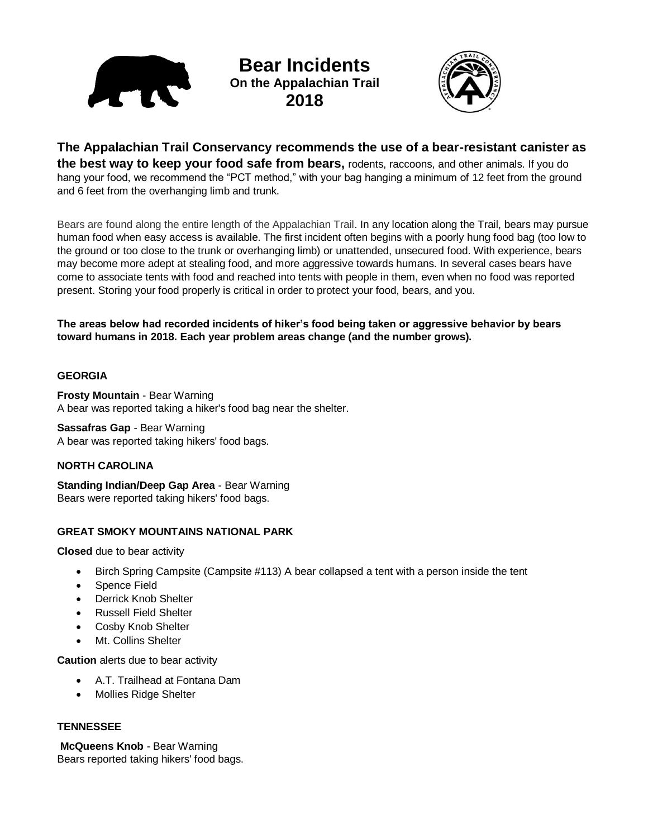TIN

**Bear Incidents On the Appalachian Trail 2018**



**The Appalachian Trail Conservancy recommends the use of a bear-resistant canister as the best way to keep your food safe from bears,** rodents, raccoons, and other animals. If you do hang your food, we recommend the "PCT method," with your bag hanging a minimum of 12 feet from the ground and 6 feet from the overhanging limb and trunk.

Bears are found along the entire length of the Appalachian Trail. In any location along the Trail, bears may pursue human food when easy access is available. The first incident often begins with a poorly hung food bag (too low to the ground or too close to the trunk or overhanging limb) or unattended, unsecured food. With experience, bears may become more adept at stealing food, and more aggressive towards humans. In several cases bears have come to associate tents with food and reached into tents with people in them, even when no food was reported present. Storing your food properly is critical in order to protect your food, bears, and you.

**The areas below had recorded incidents of hiker's food being taken or aggressive behavior by bears toward humans in 2018. Each year problem areas change (and the number grows).** 

# **GEORGIA**

**Frosty Mountain** - Bear Warning A bear was reported taking a hiker's food bag near the shelter.

**Sassafras Gap** - Bear Warning A bear was reported taking hikers' food bags.

## **NORTH CAROLINA**

**Standing Indian/Deep Gap Area** - Bear Warning Bears were reported taking hikers' food bags.

## **GREAT SMOKY MOUNTAINS NATIONAL PARK**

**Closed** due to bear activity

- Birch Spring Campsite (Campsite #113) A bear collapsed a tent with a person inside the tent
- Spence Field
- Derrick Knob Shelter
- Russell Field Shelter
- Cosby Knob Shelter
- Mt. Collins Shelter

**Caution** alerts due to bear activity

- A.T. Trailhead at Fontana Dam
- Mollies Ridge Shelter

## **TENNESSEE**

**McQueens Knob** - Bear Warning Bears reported taking hikers' food bags.